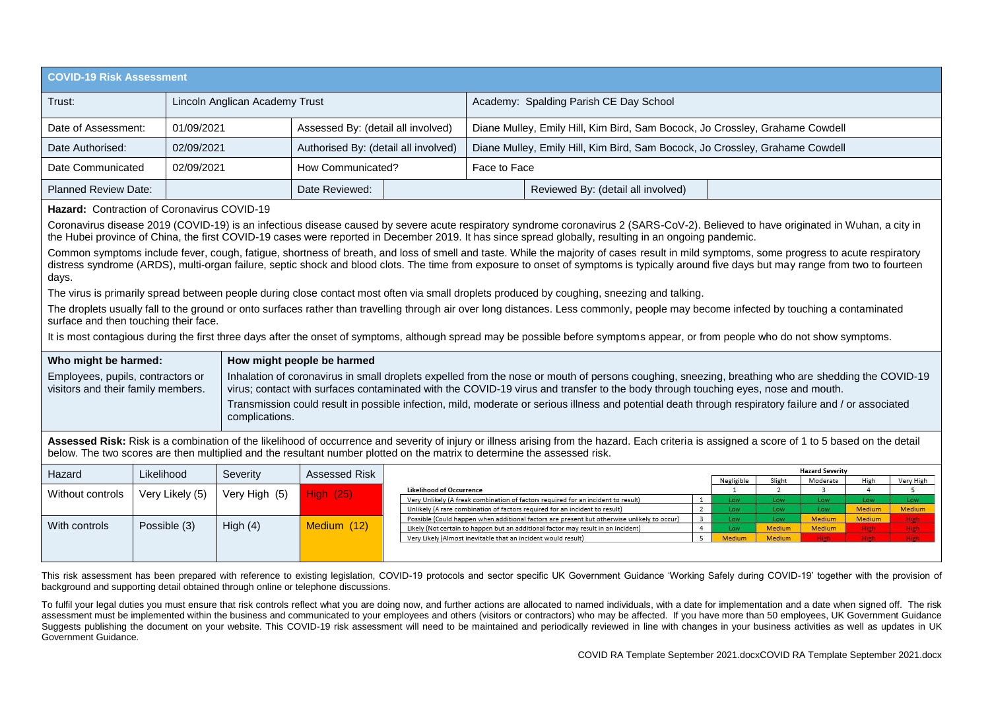| <b>COVID-19 Risk Assessment</b> |                                |                                      |                                                                              |  |  |  |
|---------------------------------|--------------------------------|--------------------------------------|------------------------------------------------------------------------------|--|--|--|
| Trust:                          | Lincoln Anglican Academy Trust |                                      | Academy: Spalding Parish CE Day School                                       |  |  |  |
| Date of Assessment:             | 01/09/2021                     | Assessed By: (detail all involved)   | Diane Mulley, Emily Hill, Kim Bird, Sam Bocock, Jo Crossley, Grahame Cowdell |  |  |  |
| Date Authorised:                | 02/09/2021                     | Authorised By: (detail all involved) | Diane Mulley, Emily Hill, Kim Bird, Sam Bocock, Jo Crossley, Grahame Cowdell |  |  |  |
| Date Communicated               | 02/09/2021                     | How Communicated?                    | Face to Face                                                                 |  |  |  |
| <b>Planned Review Date:</b>     |                                | Date Reviewed:                       | Reviewed By: (detail all involved)                                           |  |  |  |

## **Hazard:** Contraction of Coronavirus COVID-19

Coronavirus disease 2019 (COVID-19) is an infectious disease caused by severe acute respiratory syndrome coronavirus 2 (SARS-CoV-2). Believed to have originated in Wuhan, a city in the Hubei province of China, the first COVID-19 cases were reported in December 2019. It has since spread globally, resulting in an ongoing pandemic.

Common symptoms include fever, cough, fatigue, shortness of breath, and loss of smell and taste. While the majority of cases result in mild symptoms, some progress to acute respiratory distress syndrome (ARDS), multi-organ failure, septic shock and blood clots. The time from exposure to onset of symptoms is typically around five days but may range from two to fourteen days.

The virus is primarily spread between people during close contact most often via small droplets produced by coughing, sneezing and talking.

The droplets usually fall to the ground or onto surfaces rather than travelling through air over long distances. Less commonly, people may become infected by touching a contaminated surface and then touching their face.

It is most contagious during the first three days after the onset of symptoms, although spread may be possible before symptoms appear, or from people who do not show symptoms.

| Who might be harmed:                                                    | How might people be harmed                                                                                                                                                                                                                                                              |
|-------------------------------------------------------------------------|-----------------------------------------------------------------------------------------------------------------------------------------------------------------------------------------------------------------------------------------------------------------------------------------|
| Employees, pupils, contractors or<br>visitors and their family members. | Inhalation of coronavirus in small droplets expelled from the nose or mouth of persons coughing, sneezing, breathing who are shedding the COVID-19<br>virus; contact with surfaces contaminated with the COVID-19 virus and transfer to the body through touching eyes, nose and mouth. |
|                                                                         | Transmission could result in possible infection, mild, moderate or serious illness and potential death through respiratory failure and / or associated<br>complications.                                                                                                                |

Assessed Risk: Risk is a combination of the likelihood of occurrence and severity of injury or illness arising from the hazard. Each criteria is assigned a score of 1 to 5 based on the detail below. The two scores are then multiplied and the resultant number plotted on the matrix to determine the assessed risk.

| Hazard           | Likelihood      | Severity      | Assessed Risk    |                                                                                             |            |           | <b>Hazard Severity</b> |               |           |
|------------------|-----------------|---------------|------------------|---------------------------------------------------------------------------------------------|------------|-----------|------------------------|---------------|-----------|
|                  |                 |               |                  |                                                                                             | Negligible | Slight    | Moderate               | High          | Very High |
| Without controls | Very Likely (5) | Very High (5) | <b>High (25)</b> | <b>Likelihood of Occurrence</b>                                                             |            |           |                        |               |           |
|                  |                 |               |                  | Very Unlikely (A freak combination of factors required for an incident to result)           | Low        | Low       | Low                    | Low           |           |
|                  |                 |               |                  | Unlikely (A rare combination of factors required for an incident to result)                 | Low        | Low       | LOW.                   | Medium        | Medium    |
|                  |                 |               |                  | Possible (Could happen when additional factors are present but otherwise unlikely to occur) | Low        | <b>OW</b> | Medium                 | <b>Medium</b> |           |
| With controls    | Possible (3)    | High (4)      | Medium (12)      | Likely (Not certain to happen but an additional factor may result in an incident)           | Low        | Medium    | <b>Medium</b>          | <b>HIGH</b>   |           |
|                  |                 |               |                  | Very Likely (Almost inevitable that an incident would result)                               | Medium     | Medium    |                        |               |           |
|                  |                 |               |                  |                                                                                             |            |           |                        |               |           |
|                  |                 |               |                  |                                                                                             |            |           |                        |               |           |

This risk assessment has been prepared with reference to existing legislation, COVID-19 protocols and sector specific UK Government Guidance 'Working Safely during COVID-19' together with the provision of background and supporting detail obtained through online or telephone discussions.

To fulfil your legal duties you must ensure that risk controls reflect what you are doing now, and further actions are allocated to named individuals, with a date for implementation and a date when signed off. The risk assessment must be implemented within the business and communicated to your employees and others (visitors or contractors) who may be affected. If you have more than 50 employees, UK Government Guidance Suggests publishing the document on your website. This COVID-19 risk assessment will need to be maintained and periodically reviewed in line with changes in your business activities as well as updates in UK Government Guidance.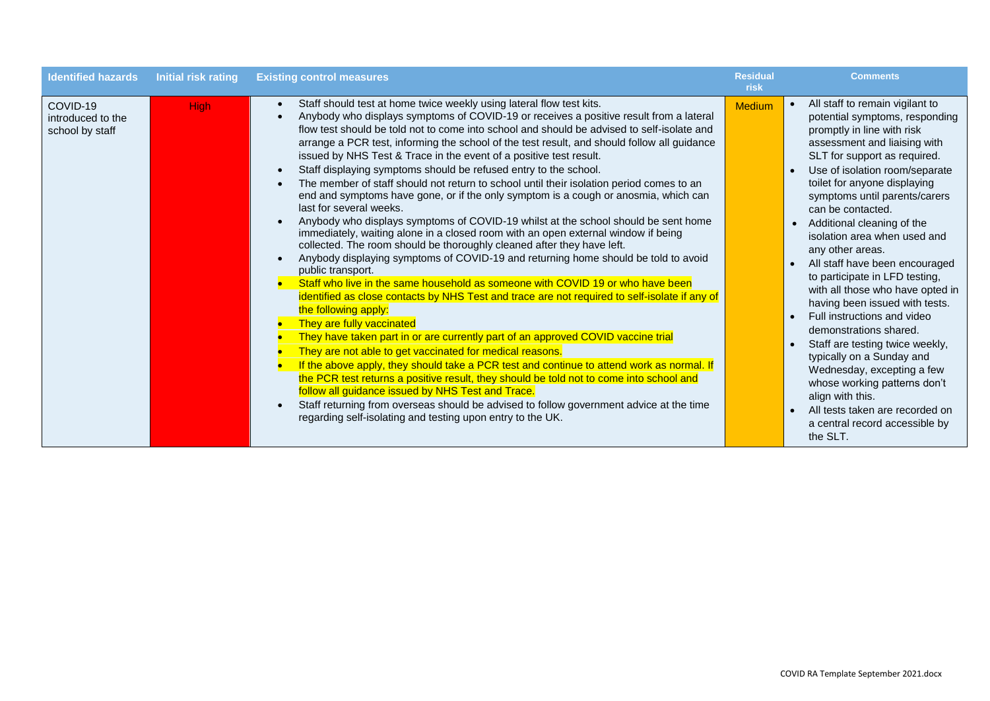| <b>Identified hazards</b>                        | <b>Initial risk rating</b> | <b>Existing control measures</b>                                                                                                                                                                                                                                                                                                                                                                                                                                                                                                                                                                                                                                                                                                                                                                                                                                                                                                                                                                                                                                                                                                                                                                                                                                                                                                                                                                                                                                                                                                                                                                                                                                                                                                                                                                                                                                                  | <b>Residual</b><br>risk | <b>Comments</b>                                                                                                                                                                                                                                                                                                                                                                                                                                                                                                                                                                                                                                                                                                                                                                                                                                        |
|--------------------------------------------------|----------------------------|-----------------------------------------------------------------------------------------------------------------------------------------------------------------------------------------------------------------------------------------------------------------------------------------------------------------------------------------------------------------------------------------------------------------------------------------------------------------------------------------------------------------------------------------------------------------------------------------------------------------------------------------------------------------------------------------------------------------------------------------------------------------------------------------------------------------------------------------------------------------------------------------------------------------------------------------------------------------------------------------------------------------------------------------------------------------------------------------------------------------------------------------------------------------------------------------------------------------------------------------------------------------------------------------------------------------------------------------------------------------------------------------------------------------------------------------------------------------------------------------------------------------------------------------------------------------------------------------------------------------------------------------------------------------------------------------------------------------------------------------------------------------------------------------------------------------------------------------------------------------------------------|-------------------------|--------------------------------------------------------------------------------------------------------------------------------------------------------------------------------------------------------------------------------------------------------------------------------------------------------------------------------------------------------------------------------------------------------------------------------------------------------------------------------------------------------------------------------------------------------------------------------------------------------------------------------------------------------------------------------------------------------------------------------------------------------------------------------------------------------------------------------------------------------|
| COVID-19<br>introduced to the<br>school by staff | <b>High</b>                | Staff should test at home twice weekly using lateral flow test kits.<br>Anybody who displays symptoms of COVID-19 or receives a positive result from a lateral<br>flow test should be told not to come into school and should be advised to self-isolate and<br>arrange a PCR test, informing the school of the test result, and should follow all guidance<br>issued by NHS Test & Trace in the event of a positive test result.<br>Staff displaying symptoms should be refused entry to the school.<br>The member of staff should not return to school until their isolation period comes to an<br>end and symptoms have gone, or if the only symptom is a cough or anosmia, which can<br>last for several weeks.<br>Anybody who displays symptoms of COVID-19 whilst at the school should be sent home<br>immediately, waiting alone in a closed room with an open external window if being<br>collected. The room should be thoroughly cleaned after they have left.<br>Anybody displaying symptoms of COVID-19 and returning home should be told to avoid<br>public transport.<br>Staff who live in the same household as someone with COVID 19 or who have been<br>identified as close contacts by NHS Test and trace are not required to self-isolate if any of<br>the following apply:<br>They are fully vaccinated<br>They have taken part in or are currently part of an approved COVID vaccine trial<br>They are not able to get vaccinated for medical reasons.<br>If the above apply, they should take a PCR test and continue to attend work as normal. If<br>the PCR test returns a positive result, they should be told not to come into school and<br>follow all guidance issued by NHS Test and Trace.<br>Staff returning from overseas should be advised to follow government advice at the time<br>regarding self-isolating and testing upon entry to the UK. | <b>Medium</b>           | All staff to remain vigilant to<br>$\bullet$<br>potential symptoms, responding<br>promptly in line with risk<br>assessment and liaising with<br>SLT for support as required.<br>Use of isolation room/separate<br>toilet for anyone displaying<br>symptoms until parents/carers<br>can be contacted.<br>Additional cleaning of the<br>$\bullet$<br>isolation area when used and<br>any other areas.<br>All staff have been encouraged<br>to participate in LFD testing,<br>with all those who have opted in<br>having been issued with tests.<br>Full instructions and video<br>demonstrations shared.<br>Staff are testing twice weekly,<br>typically on a Sunday and<br>Wednesday, excepting a few<br>whose working patterns don't<br>align with this.<br>All tests taken are recorded on<br>$\bullet$<br>a central record accessible by<br>the SLT. |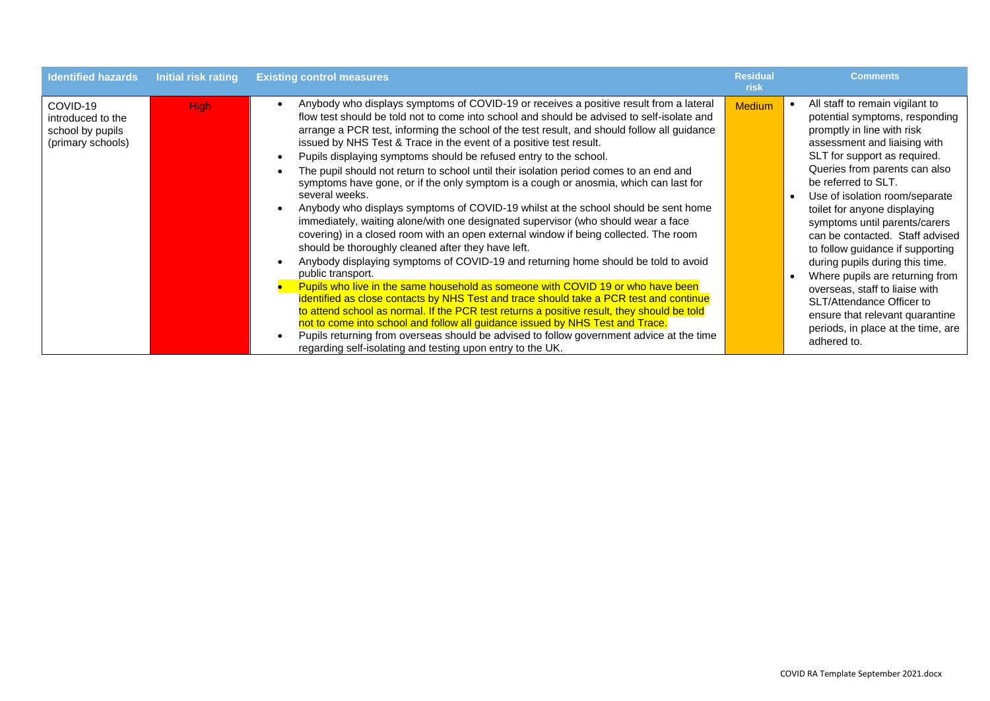| <b>Identified hazards</b>                                              | <b>Initial risk rating</b> | <b>Existing control measures</b>                                                                                                                                                                                                                                                                                                                                                                                                                                                                                                                                                                                                                                                                                                                                                                                                                                                                                                                                                                                                                                                                                                                                                                                                                                                                                                                                                                                                                                                                                                                                                             | <b>Residual</b><br>risk | <b>Comments</b>                                                                                                                                                                                                                                                                                                                                                                                                                                                                                                                                                                                                                |
|------------------------------------------------------------------------|----------------------------|----------------------------------------------------------------------------------------------------------------------------------------------------------------------------------------------------------------------------------------------------------------------------------------------------------------------------------------------------------------------------------------------------------------------------------------------------------------------------------------------------------------------------------------------------------------------------------------------------------------------------------------------------------------------------------------------------------------------------------------------------------------------------------------------------------------------------------------------------------------------------------------------------------------------------------------------------------------------------------------------------------------------------------------------------------------------------------------------------------------------------------------------------------------------------------------------------------------------------------------------------------------------------------------------------------------------------------------------------------------------------------------------------------------------------------------------------------------------------------------------------------------------------------------------------------------------------------------------|-------------------------|--------------------------------------------------------------------------------------------------------------------------------------------------------------------------------------------------------------------------------------------------------------------------------------------------------------------------------------------------------------------------------------------------------------------------------------------------------------------------------------------------------------------------------------------------------------------------------------------------------------------------------|
| COVID-19<br>introduced to the<br>school by pupils<br>(primary schools) | <b>High</b>                | Anybody who displays symptoms of COVID-19 or receives a positive result from a lateral<br>flow test should be told not to come into school and should be advised to self-isolate and<br>arrange a PCR test, informing the school of the test result, and should follow all guidance<br>issued by NHS Test & Trace in the event of a positive test result.<br>Pupils displaying symptoms should be refused entry to the school.<br>The pupil should not return to school until their isolation period comes to an end and<br>symptoms have gone, or if the only symptom is a cough or anosmia, which can last for<br>several weeks.<br>Anybody who displays symptoms of COVID-19 whilst at the school should be sent home<br>immediately, waiting alone/with one designated supervisor (who should wear a face<br>covering) in a closed room with an open external window if being collected. The room<br>should be thoroughly cleaned after they have left.<br>Anybody displaying symptoms of COVID-19 and returning home should be told to avoid<br>public transport.<br>Pupils who live in the same household as someone with COVID 19 or who have been<br>identified as close contacts by NHS Test and trace should take a PCR test and continue<br>to attend school as normal. If the PCR test returns a positive result, they should be told<br>not to come into school and follow all guidance issued by NHS Test and Trace.<br>Pupils returning from overseas should be advised to follow government advice at the time<br>regarding self-isolating and testing upon entry to the UK. | <b>Medium</b>           | All staff to remain vigilant to<br>potential symptoms, responding<br>promptly in line with risk<br>assessment and liaising with<br>SLT for support as required.<br>Queries from parents can also<br>be referred to SLT.<br>Use of isolation room/separate<br>toilet for anyone displaying<br>symptoms until parents/carers<br>can be contacted. Staff advised<br>to follow guidance if supporting<br>during pupils during this time.<br>Where pupils are returning from<br>overseas, staff to liaise with<br>SLT/Attendance Officer to<br>ensure that relevant quarantine<br>periods, in place at the time, are<br>adhered to. |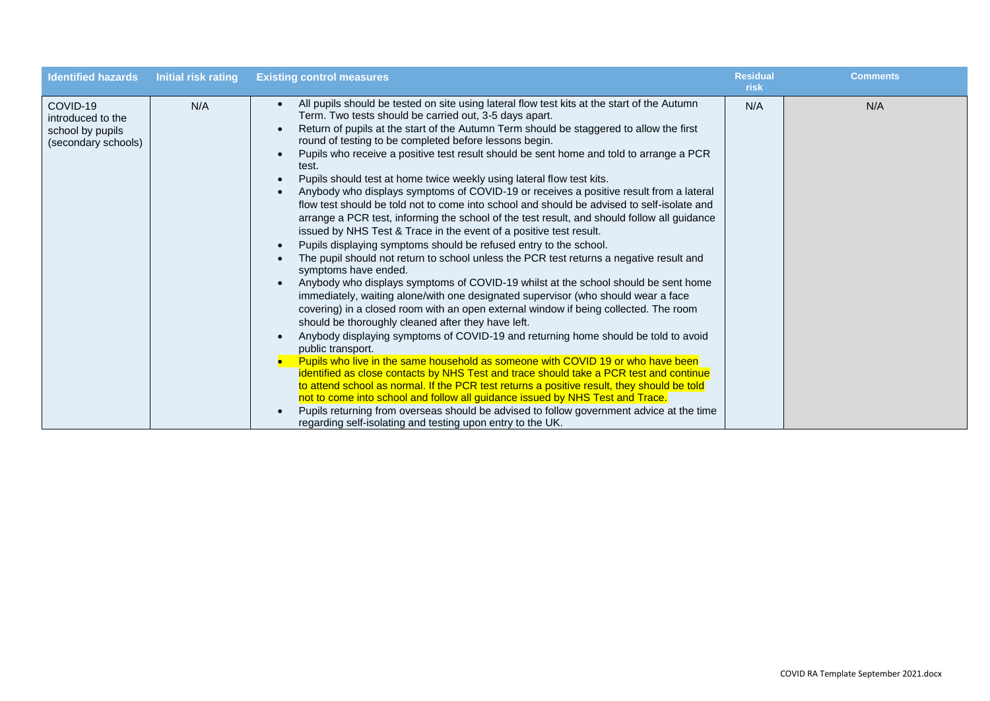| <b>Identified hazards</b>                                                | Initial risk rating | <b>Existing control measures</b>                                                                                                                                                                                                                                                                                                                                                                                                                                                                                                                                                                                                                                                                                                                                                                                                                                                                                                                                                                                                                                                                                                                                                                                                                                                                                                                                                                                                                                                                                                                                                                                                                                                                                                                                                                                                                                                                                                                                                                       | <b>Residual</b><br>risk | <b>Comments</b> |
|--------------------------------------------------------------------------|---------------------|--------------------------------------------------------------------------------------------------------------------------------------------------------------------------------------------------------------------------------------------------------------------------------------------------------------------------------------------------------------------------------------------------------------------------------------------------------------------------------------------------------------------------------------------------------------------------------------------------------------------------------------------------------------------------------------------------------------------------------------------------------------------------------------------------------------------------------------------------------------------------------------------------------------------------------------------------------------------------------------------------------------------------------------------------------------------------------------------------------------------------------------------------------------------------------------------------------------------------------------------------------------------------------------------------------------------------------------------------------------------------------------------------------------------------------------------------------------------------------------------------------------------------------------------------------------------------------------------------------------------------------------------------------------------------------------------------------------------------------------------------------------------------------------------------------------------------------------------------------------------------------------------------------------------------------------------------------------------------------------------------------|-------------------------|-----------------|
| COVID-19<br>introduced to the<br>school by pupils<br>(secondary schools) | N/A                 | All pupils should be tested on site using lateral flow test kits at the start of the Autumn<br>Term. Two tests should be carried out, 3-5 days apart.<br>Return of pupils at the start of the Autumn Term should be staggered to allow the first<br>round of testing to be completed before lessons begin.<br>Pupils who receive a positive test result should be sent home and told to arrange a PCR<br>test.<br>Pupils should test at home twice weekly using lateral flow test kits.<br>Anybody who displays symptoms of COVID-19 or receives a positive result from a lateral<br>flow test should be told not to come into school and should be advised to self-isolate and<br>arrange a PCR test, informing the school of the test result, and should follow all guidance<br>issued by NHS Test & Trace in the event of a positive test result.<br>Pupils displaying symptoms should be refused entry to the school.<br>The pupil should not return to school unless the PCR test returns a negative result and<br>symptoms have ended.<br>Anybody who displays symptoms of COVID-19 whilst at the school should be sent home<br>immediately, waiting alone/with one designated supervisor (who should wear a face<br>covering) in a closed room with an open external window if being collected. The room<br>should be thoroughly cleaned after they have left.<br>Anybody displaying symptoms of COVID-19 and returning home should be told to avoid<br>public transport.<br>Pupils who live in the same household as someone with COVID 19 or who have been<br>identified as close contacts by NHS Test and trace should take a PCR test and continue<br>to attend school as normal. If the PCR test returns a positive result, they should be told<br>not to come into school and follow all guidance issued by NHS Test and Trace.<br>Pupils returning from overseas should be advised to follow government advice at the time<br>regarding self-isolating and testing upon entry to the UK. | N/A                     | N/A             |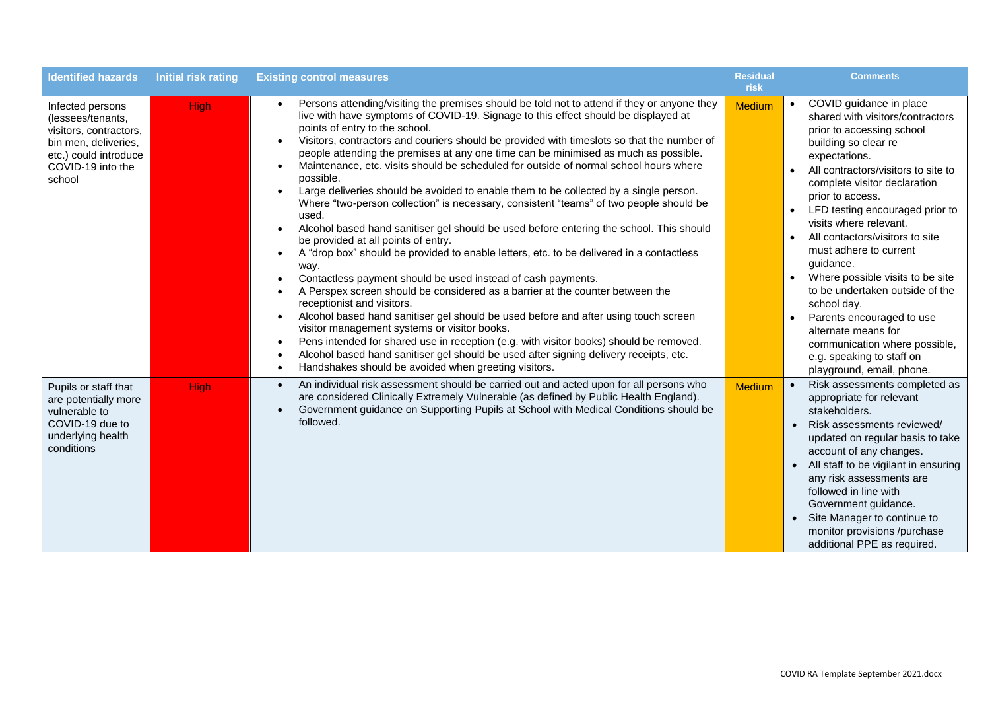| <b>Identified hazards</b>                                                                                                                       | <b>Initial risk rating</b> | <b>Existing control measures</b>                                                                                                                                                                                                                                                                                                                                                                                                                                                                                                                                                                                                                                                                                                                                                                                                                                                                                                                                                                                                                                                                                                                                                                                                                                                                                                                                                                                                                                                                                                                                      | <b>Residual</b><br>risk | <b>Comments</b>                                                                                                                                                                                                                                                                                                                                                                                                                                                                                                                                                                                                                                                           |
|-------------------------------------------------------------------------------------------------------------------------------------------------|----------------------------|-----------------------------------------------------------------------------------------------------------------------------------------------------------------------------------------------------------------------------------------------------------------------------------------------------------------------------------------------------------------------------------------------------------------------------------------------------------------------------------------------------------------------------------------------------------------------------------------------------------------------------------------------------------------------------------------------------------------------------------------------------------------------------------------------------------------------------------------------------------------------------------------------------------------------------------------------------------------------------------------------------------------------------------------------------------------------------------------------------------------------------------------------------------------------------------------------------------------------------------------------------------------------------------------------------------------------------------------------------------------------------------------------------------------------------------------------------------------------------------------------------------------------------------------------------------------------|-------------------------|---------------------------------------------------------------------------------------------------------------------------------------------------------------------------------------------------------------------------------------------------------------------------------------------------------------------------------------------------------------------------------------------------------------------------------------------------------------------------------------------------------------------------------------------------------------------------------------------------------------------------------------------------------------------------|
| Infected persons<br>(lessees/tenants,<br>visitors, contractors,<br>bin men, deliveries,<br>etc.) could introduce<br>COVID-19 into the<br>school | High                       | Persons attending/visiting the premises should be told not to attend if they or anyone they<br>live with have symptoms of COVID-19. Signage to this effect should be displayed at<br>points of entry to the school.<br>Visitors, contractors and couriers should be provided with timeslots so that the number of<br>people attending the premises at any one time can be minimised as much as possible.<br>Maintenance, etc. visits should be scheduled for outside of normal school hours where<br>possible.<br>Large deliveries should be avoided to enable them to be collected by a single person.<br>Where "two-person collection" is necessary, consistent "teams" of two people should be<br>used.<br>Alcohol based hand sanitiser gel should be used before entering the school. This should<br>be provided at all points of entry.<br>A "drop box" should be provided to enable letters, etc. to be delivered in a contactless<br>way.<br>Contactless payment should be used instead of cash payments.<br>A Perspex screen should be considered as a barrier at the counter between the<br>receptionist and visitors.<br>Alcohol based hand sanitiser gel should be used before and after using touch screen<br>$\bullet$<br>visitor management systems or visitor books.<br>Pens intended for shared use in reception (e.g. with visitor books) should be removed.<br>$\bullet$<br>Alcohol based hand sanitiser gel should be used after signing delivery receipts, etc.<br>$\bullet$<br>Handshakes should be avoided when greeting visitors.<br>$\bullet$ | <b>Medium</b>           | COVID guidance in place<br>$\bullet$<br>shared with visitors/contractors<br>prior to accessing school<br>building so clear re<br>expectations.<br>All contractors/visitors to site to<br>$\bullet$<br>complete visitor declaration<br>prior to access.<br>LFD testing encouraged prior to<br>$\bullet$<br>visits where relevant.<br>All contactors/visitors to site<br>$\bullet$<br>must adhere to current<br>guidance.<br>Where possible visits to be site<br>to be undertaken outside of the<br>school day.<br>Parents encouraged to use<br>$\bullet$<br>alternate means for<br>communication where possible,<br>e.g. speaking to staff on<br>playground, email, phone. |
| Pupils or staff that<br>are potentially more<br>vulnerable to<br>COVID-19 due to<br>underlying health<br>conditions                             | <b>High</b>                | An individual risk assessment should be carried out and acted upon for all persons who<br>$\bullet$<br>are considered Clinically Extremely Vulnerable (as defined by Public Health England).<br>Government guidance on Supporting Pupils at School with Medical Conditions should be<br>followed.                                                                                                                                                                                                                                                                                                                                                                                                                                                                                                                                                                                                                                                                                                                                                                                                                                                                                                                                                                                                                                                                                                                                                                                                                                                                     | Medium                  | $\bullet$<br>Risk assessments completed as<br>appropriate for relevant<br>stakeholders.<br>Risk assessments reviewed/<br>updated on regular basis to take<br>account of any changes.<br>All staff to be vigilant in ensuring<br>$\bullet$<br>any risk assessments are<br>followed in line with<br>Government guidance.<br>Site Manager to continue to<br>monitor provisions /purchase<br>additional PPE as required.                                                                                                                                                                                                                                                      |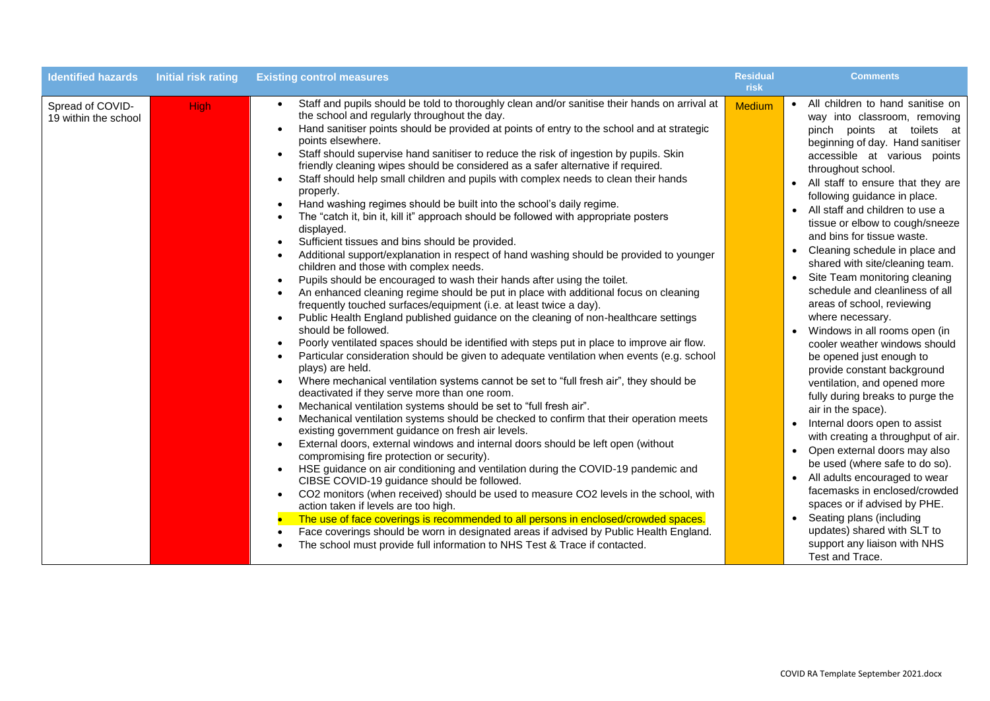| <b>Identified hazards</b>                | Initial risk rating | <b>Existing control measures</b>                                                                                                                                                                                                                                                                                                                                                                                                                                                                                                                                                                                                                                                                                                                                                                                                                                                                                                                                                                                                                                                                                                                                                                                                                                                                                                                                                                                                                                                                                                                                                                                                                                                                                                                                                                                                                                                                                                                                                                                                                                                                                                                                                                                                                                                                                                                                                                                                                                                                                                                                                                                              | <b>Residual</b><br>risk | <b>Comments</b>                                                                                                                                                                                                                                                                                                                                                                                                                                                                                                                                                                                                                                                                                                                                                                                                                                                                                                                                                                                                                                                                                                                                                                                                                |
|------------------------------------------|---------------------|-------------------------------------------------------------------------------------------------------------------------------------------------------------------------------------------------------------------------------------------------------------------------------------------------------------------------------------------------------------------------------------------------------------------------------------------------------------------------------------------------------------------------------------------------------------------------------------------------------------------------------------------------------------------------------------------------------------------------------------------------------------------------------------------------------------------------------------------------------------------------------------------------------------------------------------------------------------------------------------------------------------------------------------------------------------------------------------------------------------------------------------------------------------------------------------------------------------------------------------------------------------------------------------------------------------------------------------------------------------------------------------------------------------------------------------------------------------------------------------------------------------------------------------------------------------------------------------------------------------------------------------------------------------------------------------------------------------------------------------------------------------------------------------------------------------------------------------------------------------------------------------------------------------------------------------------------------------------------------------------------------------------------------------------------------------------------------------------------------------------------------------------------------------------------------------------------------------------------------------------------------------------------------------------------------------------------------------------------------------------------------------------------------------------------------------------------------------------------------------------------------------------------------------------------------------------------------------------------------------------------------|-------------------------|--------------------------------------------------------------------------------------------------------------------------------------------------------------------------------------------------------------------------------------------------------------------------------------------------------------------------------------------------------------------------------------------------------------------------------------------------------------------------------------------------------------------------------------------------------------------------------------------------------------------------------------------------------------------------------------------------------------------------------------------------------------------------------------------------------------------------------------------------------------------------------------------------------------------------------------------------------------------------------------------------------------------------------------------------------------------------------------------------------------------------------------------------------------------------------------------------------------------------------|
| Spread of COVID-<br>19 within the school | <b>High</b>         | Staff and pupils should be told to thoroughly clean and/or sanitise their hands on arrival at<br>$\bullet$<br>the school and regularly throughout the day.<br>Hand sanitiser points should be provided at points of entry to the school and at strategic<br>points elsewhere.<br>Staff should supervise hand sanitiser to reduce the risk of ingestion by pupils. Skin<br>$\bullet$<br>friendly cleaning wipes should be considered as a safer alternative if required.<br>Staff should help small children and pupils with complex needs to clean their hands<br>$\bullet$<br>properly.<br>Hand washing regimes should be built into the school's daily regime.<br>The "catch it, bin it, kill it" approach should be followed with appropriate posters<br>displayed.<br>Sufficient tissues and bins should be provided.<br>Additional support/explanation in respect of hand washing should be provided to younger<br>children and those with complex needs.<br>Pupils should be encouraged to wash their hands after using the toilet.<br>An enhanced cleaning regime should be put in place with additional focus on cleaning<br>frequently touched surfaces/equipment (i.e. at least twice a day).<br>Public Health England published guidance on the cleaning of non-healthcare settings<br>$\bullet$<br>should be followed.<br>Poorly ventilated spaces should be identified with steps put in place to improve air flow.<br>Particular consideration should be given to adequate ventilation when events (e.g. school<br>plays) are held.<br>Where mechanical ventilation systems cannot be set to "full fresh air", they should be<br>$\bullet$<br>deactivated if they serve more than one room.<br>Mechanical ventilation systems should be set to "full fresh air".<br>Mechanical ventilation systems should be checked to confirm that their operation meets<br>existing government guidance on fresh air levels.<br>External doors, external windows and internal doors should be left open (without<br>compromising fire protection or security).<br>HSE guidance on air conditioning and ventilation during the COVID-19 pandemic and<br>$\bullet$<br>CIBSE COVID-19 guidance should be followed.<br>CO2 monitors (when received) should be used to measure CO2 levels in the school, with<br>$\bullet$<br>action taken if levels are too high.<br>The use of face coverings is recommended to all persons in enclosed/crowded spaces.<br>Face coverings should be worn in designated areas if advised by Public Health England.<br>The school must provide full information to NHS Test & Trace if contacted. | <b>Medium</b>           | • All children to hand sanitise on<br>way into classroom, removing<br>pinch points at toilets at<br>beginning of day. Hand sanitiser<br>accessible at various points<br>throughout school.<br>• All staff to ensure that they are<br>following guidance in place.<br>All staff and children to use a<br>$\bullet$<br>tissue or elbow to cough/sneeze<br>and bins for tissue waste.<br>Cleaning schedule in place and<br>$\bullet$<br>shared with site/cleaning team.<br>Site Team monitoring cleaning<br>schedule and cleanliness of all<br>areas of school, reviewing<br>where necessary.<br>Windows in all rooms open (in<br>cooler weather windows should<br>be opened just enough to<br>provide constant background<br>ventilation, and opened more<br>fully during breaks to purge the<br>air in the space).<br>Internal doors open to assist<br>$\bullet$<br>with creating a throughput of air.<br>Open external doors may also<br>$\bullet$<br>be used (where safe to do so).<br>All adults encouraged to wear<br>$\bullet$<br>facemasks in enclosed/crowded<br>spaces or if advised by PHE.<br>Seating plans (including<br>$\bullet$<br>updates) shared with SLT to<br>support any liaison with NHS<br>Test and Trace. |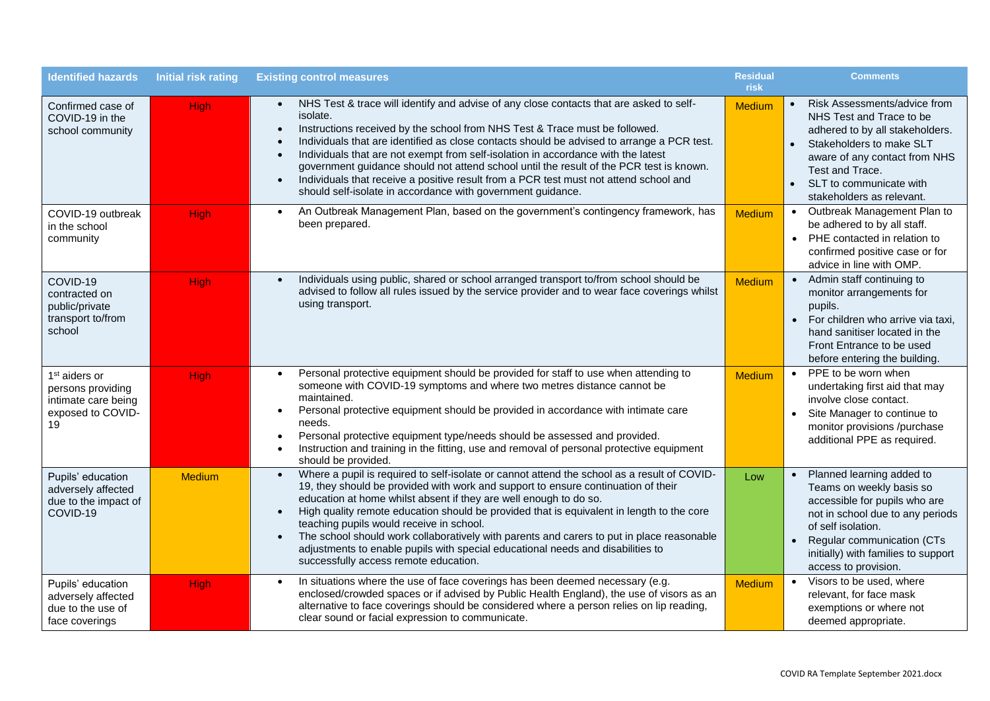| <b>Identified hazards</b>                                                                        | <b>Initial risk rating</b> | <b>Existing control measures</b>                                                                                                                                                                                                                                                                                                                                                                                                                                                                                                                                                                                                                                             | <b>Residual</b><br>risk | <b>Comments</b>                                                                                                                                                                                                                               |
|--------------------------------------------------------------------------------------------------|----------------------------|------------------------------------------------------------------------------------------------------------------------------------------------------------------------------------------------------------------------------------------------------------------------------------------------------------------------------------------------------------------------------------------------------------------------------------------------------------------------------------------------------------------------------------------------------------------------------------------------------------------------------------------------------------------------------|-------------------------|-----------------------------------------------------------------------------------------------------------------------------------------------------------------------------------------------------------------------------------------------|
| Confirmed case of<br>COVID-19 in the<br>school community                                         | <b>High</b>                | NHS Test & trace will identify and advise of any close contacts that are asked to self-<br>$\bullet$<br>isolate.<br>Instructions received by the school from NHS Test & Trace must be followed.<br>$\bullet$<br>Individuals that are identified as close contacts should be advised to arrange a PCR test.<br>Individuals that are not exempt from self-isolation in accordance with the latest<br>$\bullet$<br>government guidance should not attend school until the result of the PCR test is known.<br>Individuals that receive a positive result from a PCR test must not attend school and<br>$\bullet$<br>should self-isolate in accordance with government guidance. | <b>Medium</b>           | Risk Assessments/advice from<br>NHS Test and Trace to be<br>adhered to by all stakeholders.<br>Stakeholders to make SLT<br>aware of any contact from NHS<br>Test and Trace.<br>SLT to communicate with<br>stakeholders as relevant.           |
| COVID-19 outbreak<br>in the school<br>community                                                  | High                       | An Outbreak Management Plan, based on the government's contingency framework, has<br>$\bullet$<br>been prepared.                                                                                                                                                                                                                                                                                                                                                                                                                                                                                                                                                             | <b>Medium</b>           | • Outbreak Management Plan to<br>be adhered to by all staff.<br>• PHE contacted in relation to<br>confirmed positive case or for<br>advice in line with OMP.                                                                                  |
| COVID-19<br>contracted on<br>public/private<br>transport to/from<br>school                       | <b>High</b>                | Individuals using public, shared or school arranged transport to/from school should be<br>$\bullet$<br>advised to follow all rules issued by the service provider and to wear face coverings whilst<br>using transport.                                                                                                                                                                                                                                                                                                                                                                                                                                                      | <b>Medium</b>           | • Admin staff continuing to<br>monitor arrangements for<br>pupils.<br>• For children who arrive via taxi,<br>hand sanitiser located in the<br>Front Entrance to be used<br>before entering the building.                                      |
| 1 <sup>st</sup> aiders or<br>persons providing<br>intimate care being<br>exposed to COVID-<br>19 | <b>High</b>                | Personal protective equipment should be provided for staff to use when attending to<br>$\bullet$<br>someone with COVID-19 symptoms and where two metres distance cannot be<br>maintained.<br>Personal protective equipment should be provided in accordance with intimate care<br>needs.<br>Personal protective equipment type/needs should be assessed and provided.<br>Instruction and training in the fitting, use and removal of personal protective equipment<br>should be provided.                                                                                                                                                                                    | <b>Medium</b>           | PPE to be worn when<br>$\bullet$<br>undertaking first aid that may<br>involve close contact.<br>Site Manager to continue to<br>monitor provisions /purchase<br>additional PPE as required.                                                    |
| Pupils' education<br>adversely affected<br>due to the impact of<br>COVID-19                      | <b>Medium</b>              | Where a pupil is required to self-isolate or cannot attend the school as a result of COVID-<br>19, they should be provided with work and support to ensure continuation of their<br>education at home whilst absent if they are well enough to do so.<br>High quality remote education should be provided that is equivalent in length to the core<br>$\bullet$<br>teaching pupils would receive in school.<br>The school should work collaboratively with parents and carers to put in place reasonable<br>$\bullet$<br>adjustments to enable pupils with special educational needs and disabilities to<br>successfully access remote education.                            | Low                     | Planned learning added to<br>Teams on weekly basis so<br>accessible for pupils who are<br>not in school due to any periods<br>of self isolation.<br>Regular communication (CTs<br>initially) with families to support<br>access to provision. |
| Pupils' education<br>adversely affected<br>due to the use of<br>face coverings                   | <b>High</b>                | In situations where the use of face coverings has been deemed necessary (e.g.<br>$\bullet$<br>enclosed/crowded spaces or if advised by Public Health England), the use of visors as an<br>alternative to face coverings should be considered where a person relies on lip reading,<br>clear sound or facial expression to communicate.                                                                                                                                                                                                                                                                                                                                       | <b>Medium</b>           | • Visors to be used, where<br>relevant, for face mask<br>exemptions or where not<br>deemed appropriate.                                                                                                                                       |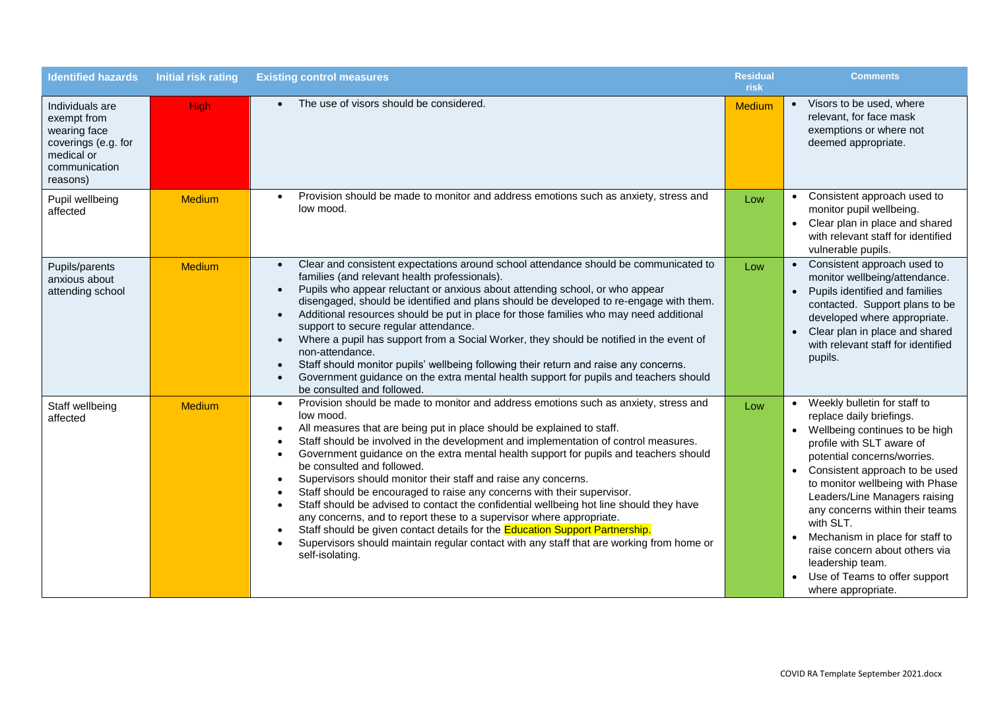| <b>Identified hazards</b>                                                                                        | <b>Initial risk rating</b> | <b>Existing control measures</b>                                                                                                                                                                                                                                                                                                                                                                                                                                                                                                                                                                                                                                                                                                                                                                                                                                                                                                                                          | <b>Residual</b><br>risk | <b>Comments</b>                                                                                                                                                                                                                                                                                                                                                                                                                                                    |
|------------------------------------------------------------------------------------------------------------------|----------------------------|---------------------------------------------------------------------------------------------------------------------------------------------------------------------------------------------------------------------------------------------------------------------------------------------------------------------------------------------------------------------------------------------------------------------------------------------------------------------------------------------------------------------------------------------------------------------------------------------------------------------------------------------------------------------------------------------------------------------------------------------------------------------------------------------------------------------------------------------------------------------------------------------------------------------------------------------------------------------------|-------------------------|--------------------------------------------------------------------------------------------------------------------------------------------------------------------------------------------------------------------------------------------------------------------------------------------------------------------------------------------------------------------------------------------------------------------------------------------------------------------|
| Individuals are<br>exempt from<br>wearing face<br>coverings (e.g. for<br>medical or<br>communication<br>reasons) | <b>High</b>                | The use of visors should be considered.                                                                                                                                                                                                                                                                                                                                                                                                                                                                                                                                                                                                                                                                                                                                                                                                                                                                                                                                   | Medium                  | • Visors to be used, where<br>relevant, for face mask<br>exemptions or where not<br>deemed appropriate.                                                                                                                                                                                                                                                                                                                                                            |
| Pupil wellbeing<br>affected                                                                                      | <b>Medium</b>              | Provision should be made to monitor and address emotions such as anxiety, stress and<br>low mood.                                                                                                                                                                                                                                                                                                                                                                                                                                                                                                                                                                                                                                                                                                                                                                                                                                                                         | Low                     | • Consistent approach used to<br>monitor pupil wellbeing.<br>• Clear plan in place and shared<br>with relevant staff for identified<br>vulnerable pupils.                                                                                                                                                                                                                                                                                                          |
| Pupils/parents<br>anxious about<br>attending school                                                              | <b>Medium</b>              | Clear and consistent expectations around school attendance should be communicated to<br>families (and relevant health professionals).<br>Pupils who appear reluctant or anxious about attending school, or who appear<br>$\bullet$<br>disengaged, should be identified and plans should be developed to re-engage with them.<br>Additional resources should be put in place for those families who may need additional<br>$\bullet$<br>support to secure regular attendance.<br>Where a pupil has support from a Social Worker, they should be notified in the event of<br>$\bullet$<br>non-attendance.<br>Staff should monitor pupils' wellbeing following their return and raise any concerns.<br>Government guidance on the extra mental health support for pupils and teachers should<br>$\bullet$<br>be consulted and followed.                                                                                                                                      | Low                     | • Consistent approach used to<br>monitor wellbeing/attendance.<br>Pupils identified and families<br>$\bullet$<br>contacted. Support plans to be<br>developed where appropriate.<br>Clear plan in place and shared<br>with relevant staff for identified<br>pupils.                                                                                                                                                                                                 |
| Staff wellbeing<br>affected                                                                                      | <b>Medium</b>              | Provision should be made to monitor and address emotions such as anxiety, stress and<br>$\bullet$<br>low mood.<br>All measures that are being put in place should be explained to staff.<br>$\bullet$<br>Staff should be involved in the development and implementation of control measures.<br>Government guidance on the extra mental health support for pupils and teachers should<br>$\bullet$<br>be consulted and followed.<br>Supervisors should monitor their staff and raise any concerns.<br>Staff should be encouraged to raise any concerns with their supervisor.<br>$\bullet$<br>Staff should be advised to contact the confidential wellbeing hot line should they have<br>$\bullet$<br>any concerns, and to report these to a supervisor where appropriate.<br>Staff should be given contact details for the Education Support Partnership.<br>Supervisors should maintain regular contact with any staff that are working from home or<br>self-isolating. | Low                     | • Weekly bulletin for staff to<br>replace daily briefings.<br>• Wellbeing continues to be high<br>profile with SLT aware of<br>potential concerns/worries.<br>• Consistent approach to be used<br>to monitor wellbeing with Phase<br>Leaders/Line Managers raising<br>any concerns within their teams<br>with SLT.<br>Mechanism in place for staff to<br>raise concern about others via<br>leadership team.<br>Use of Teams to offer support<br>where appropriate. |